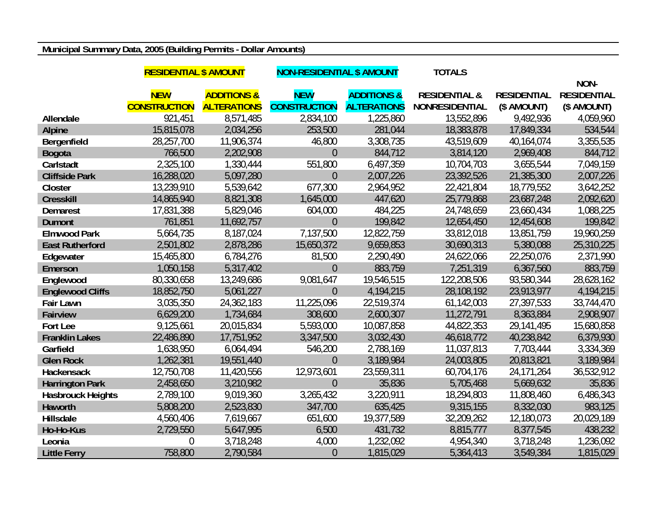## **Municipal Summary Data, 2005 (Building Permits - Dollar Amounts)**

|                          | <b>RESIDENTIAL \$ AMOUNT</b> |                        | <b>NON-RESIDENTIAL \$ AMOUNT</b> |                        | <b>TOTALS</b>            |                    |                    |
|--------------------------|------------------------------|------------------------|----------------------------------|------------------------|--------------------------|--------------------|--------------------|
|                          |                              |                        |                                  |                        |                          |                    | NON-               |
|                          | <b>NEW</b>                   | <b>ADDITIONS &amp;</b> | <b>NEW</b>                       | <b>ADDITIONS &amp;</b> | <b>RESIDENTIAL &amp;</b> | <b>RESIDENTIAL</b> | <b>RESIDENTIAL</b> |
|                          | <b>CONSTRUCTION</b>          | <b>ALTERATIONS</b>     | <b>CONSTRUCTION</b>              | <b>ALTERATIONS</b>     | <b>NONRESIDENTIAL</b>    | (\$ AMOUNT)        | (\$ AMOUNT)        |
| Allendale                | 921,451                      | 8,571,485              | 2,834,100                        | 1,225,860              | 13,552,896               | 9,492,936          | 4,059,960          |
| <b>Alpine</b>            | 15,815,078                   | 2,034,256              | 253,500                          | 281,044                | 18,383,878               | 17,849,334         | 534,544            |
| Bergenfield              | 28,257,700                   | 11,906,374             | 46,800                           | 3,308,735              | 43,519,609               | 40,164,074         | 3,355,535          |
| <b>Bogota</b>            | 766,500                      | 2,202,908              | $\overline{0}$                   | 844,712                | 3,814,120                | 2,969,408          | 844,712            |
| Carlstadt                | 2,325,100                    | 1,330,444              | 551,800                          | 6,497,359              | 10,704,703               | 3,655,544          | 7,049,159          |
| <b>Cliffside Park</b>    | 16,288,020                   | 5,097,280              | $\overline{0}$                   | 2,007,226              | 23,392,526               | 21,385,300         | 2,007,226          |
| Closter                  | 13,239,910                   | 5,539,642              | 677,300                          | 2,964,952              | 22,421,804               | 18,779,552         | 3,642,252          |
| <b>Cresskill</b>         | 14,865,940                   | 8,821,308              | 1,645,000                        | 447,620                | 25,779,868               | 23,687,248         | 2,092,620          |
| <b>Demarest</b>          | 17,831,388                   | 5,829,046              | 604,000                          | 484,225                | 24,748,659               | 23,660,434         | 1,088,225          |
| <b>Dumont</b>            | 761,851                      | 11,692,757             | $\theta$                         | 199,842                | 12,654,450               | 12,454,608         | 199,842            |
| <b>Elmwood Park</b>      | 5,664,735                    | 8,187,024              | 7,137,500                        | 12,822,759             | 33,812,018               | 13,851,759         | 19,960,259         |
| <b>East Rutherford</b>   | 2,501,802                    | 2,878,286              | 15,650,372                       | 9,659,853              | 30,690,313               | 5,380,088          | 25,310,225         |
| Edgewater                | 15,465,800                   | 6,784,276              | 81,500                           | 2,290,490              | 24,622,066               | 22,250,076         | 2,371,990          |
| Emerson                  | 1,050,158                    | 5,317,402              | $\overline{0}$                   | 883,759                | 7,251,319                | 6,367,560          | 883,759            |
| Englewood                | 80,330,658                   | 13,249,686             | 9,081,647                        | 19,546,515             | 122,208,506              | 93,580,344         | 28,628,162         |
| <b>Englewood Cliffs</b>  | 18,852,750                   | 5,061,227              | $\overline{0}$                   | 4,194,215              | 28,108,192               | 23,913,977         | 4,194,215          |
| <b>Fair Lawn</b>         | 3,035,350                    | 24,362,183             | 11,225,096                       | 22,519,374             | 61,142,003               | 27,397,533         | 33,744,470         |
| <b>Fairview</b>          | 6,629,200                    | 1,734,684              | 308,600                          | 2,600,307              | 11,272,791               | 8,363,884          | 2,908,907          |
| Fort Lee                 | 9,125,661                    | 20,015,834             | 5,593,000                        | 10,087,858             | 44,822,353               | 29,141,495         | 15,680,858         |
| <b>Franklin Lakes</b>    | 22,486,890                   | 17,751,952             | 3,347,500                        | 3,032,430              | 46,618,772               | 40,238,842         | 6,379,930          |
| Garfield                 | 1,638,950                    | 6,064,494              | 546,200                          | 2,788,169              | 11,037,813               | 7,703,444          | 3,334,369          |
| <b>Glen Rock</b>         | 1,262,381                    | 19,551,440             | $\theta$                         | 3,189,984              | 24,003,805               | 20,813,821         | 3,189,984          |
| Hackensack               | 12,750,708                   | 11,420,556             | 12,973,601                       | 23,559,311             | 60,704,176               | 24,171,264         | 36,532,912         |
| <b>Harrington Park</b>   | 2,458,650                    | 3,210,982              | $\overline{0}$                   | 35,836                 | 5,705,468                | 5,669,632          | 35,836             |
| <b>Hasbrouck Heights</b> | 2,789,100                    | 9,019,360              | 3,265,432                        | 3,220,911              | 18,294,803               | 11,808,460         | 6,486,343          |
| Haworth                  | 5,808,200                    | 2,523,830              | 347,700                          | 635,425                | 9,315,155                | 8,332,030          | 983,125            |
| Hillsdale                | 4,560,406                    | 7,619,667              | 651,600                          | 19,377,589             | 32,209,262               | 12,180,073         | 20,029,189         |
| Ho-Ho-Kus                | 2,729,550                    | 5,647,995              | 6,500                            | 431,732                | 8,815,777                | 8,377,545          | 438,232            |
| Leonia                   | $\theta$                     | 3,718,248              | 4,000                            | 1,232,092              | 4,954,340                | 3,718,248          | 1,236,092          |
| <b>Little Ferry</b>      | 758,800                      | 2,790,584              | $\overline{0}$                   | 1,815,029              | 5,364,413                | 3,549,384          | 1,815,029          |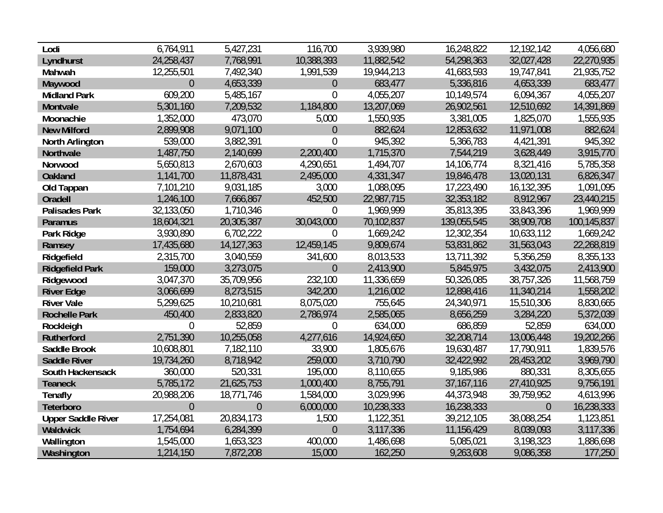| Lodi                      | 6,764,911      | 5,427,231      | 116,700          | 3,939,980  | 16,248,822   | 12,192,142     | 4,056,680   |
|---------------------------|----------------|----------------|------------------|------------|--------------|----------------|-------------|
| Lyndhurst                 | 24,258,437     | 7,768,991      | 10,388,393       | 11,882,542 | 54,298,363   | 32,027,428     | 22,270,935  |
| Mahwah                    | 12,255,501     | 7,492,340      | 1,991,539        | 19,944,213 | 41,683,593   | 19,747,841     | 21,935,752  |
| Maywood                   | $\overline{0}$ | 4,653,339      | $\theta$         | 683,477    | 5,336,816    | 4,653,339      | 683,477     |
| <b>Midland Park</b>       | 609,200        | 5,485,167      | $\overline{0}$   | 4,055,207  | 10,149,574   | 6,094,367      | 4,055,207   |
| Montvale                  | 5,301,160      | 7,209,532      | 1,184,800        | 13,207,069 | 26,902,561   | 12,510,692     | 14,391,869  |
| Moonachie                 | 1,352,000      | 473,070        | 5,000            | 1,550,935  | 3,381,005    | 1,825,070      | 1,555,935   |
| <b>New Milford</b>        | 2,899,908      | 9,071,100      | $\overline{0}$   | 882,624    | 12,853,632   | 11,971,008     | 882,624     |
| <b>North Arlington</b>    | 539,000        | 3,882,391      | $\overline{0}$   | 945,392    | 5,366,783    | 4,421,391      | 945,392     |
| Northvale                 | 1,487,750      | 2,140,699      | 2,200,400        | 1,715,370  | 7,544,219    | 3,628,449      | 3,915,770   |
| Norwood                   | 5,650,813      | 2,670,603      | 4,290,651        | 1,494,707  | 14,106,774   | 8,321,416      | 5,785,358   |
| <b>Oakland</b>            | 1,141,700      | 11,878,431     | 2,495,000        | 4,331,347  | 19,846,478   | 13,020,131     | 6,826,347   |
| Old Tappan                | 7,101,210      | 9,031,185      | 3,000            | 1,088,095  | 17,223,490   | 16,132,395     | 1,091,095   |
| <b>Oradell</b>            | 1,246,100      | 7,666,867      | 452,500          | 22,987,715 | 32,353,182   | 8,912,967      | 23,440,215  |
| <b>Palisades Park</b>     | 32,133,050     | 1,710,346      | $\theta$         | 1,969,999  | 35,813,395   | 33,843,396     | 1,969,999   |
| Paramus                   | 18,604,321     | 20,305,387     | 30,043,000       | 70,102,837 | 139,055,545  | 38,909,708     | 100,145,837 |
| Park Ridge                | 3,930,890      | 6,702,222      | $\overline{0}$   | 1,669,242  | 12,302,354   | 10,633,112     | 1,669,242   |
| Ramsey                    | 17,435,680     | 14,127,363     | 12,459,145       | 9,809,674  | 53,831,862   | 31,563,043     | 22,268,819  |
| Ridgefield                | 2,315,700      | 3,040,559      | 341,600          | 8,013,533  | 13,711,392   | 5,356,259      | 8,355,133   |
| <b>Ridgefield Park</b>    | 159,000        | 3,273,075      | $\theta$         | 2,413,900  | 5,845,975    | 3,432,075      | 2,413,900   |
| Ridgewood                 | 3,047,370      | 35,709,956     | 232,100          | 11,336,659 | 50,326,085   | 38,757,326     | 11,568,759  |
| <b>River Edge</b>         | 3,066,699      | 8,273,515      | 342,200          | 1,216,002  | 12,898,416   | 11,340,214     | 1,558,202   |
| <b>River Vale</b>         | 5,299,625      | 10,210,681     | 8,075,020        | 755,645    | 24,340,971   | 15,510,306     | 8,830,665   |
| <b>Rochelle Park</b>      | 450,400        | 2,833,820      | 2,786,974        | 2,585,065  | 8,656,259    | 3,284,220      | 5,372,039   |
| Rockleigh                 | $\overline{0}$ | 52,859         | $\boldsymbol{0}$ | 634,000    | 686,859      | 52,859         | 634,000     |
| Rutherford                | 2,751,390      | 10,255,058     | 4,277,616        | 14,924,650 | 32,208,714   | 13,006,448     | 19,202,266  |
| Saddle Brook              | 10,608,801     | 7,182,110      | 33,900           | 1,805,676  | 19,630,487   | 17,790,911     | 1,839,576   |
| <b>Saddle River</b>       | 19,734,260     | 8,718,942      | 259,000          | 3,710,790  | 32,422,992   | 28,453,202     | 3,969,790   |
| South Hackensack          | 360,000        | 520,331        | 195,000          | 8,110,655  | 9,185,986    | 880,331        | 8,305,655   |
| <b>Teaneck</b>            | 5,785,172      | 21,625,753     | 1,000,400        | 8,755,791  | 37, 167, 116 | 27,410,925     | 9,756,191   |
| <b>Tenafly</b>            | 20,988,206     | 18,771,746     | 1,584,000        | 3,029,996  | 44,373,948   | 39,759,952     | 4,613,996   |
| Teterboro                 | $\overline{0}$ | $\overline{0}$ | 6,000,000        | 10,238,333 | 16,238,333   | $\overline{0}$ | 16,238,333  |
| <b>Upper Saddle River</b> | 17,254,081     | 20,834,173     | 1,500            | 1,122,351  | 39,212,105   | 38,088,254     | 1,123,851   |
| Waldwick                  | 1,754,694      | 6,284,399      | $\theta$         | 3,117,336  | 11,156,429   | 8,039,093      | 3,117,336   |
| Wallington                | 1,545,000      | 1,653,323      | 400,000          | 1,486,698  | 5,085,021    | 3,198,323      | 1,886,698   |
| Washington                | 1,214,150      | 7,872,208      | 15,000           | 162,250    | 9,263,608    | 9,086,358      | 177,250     |